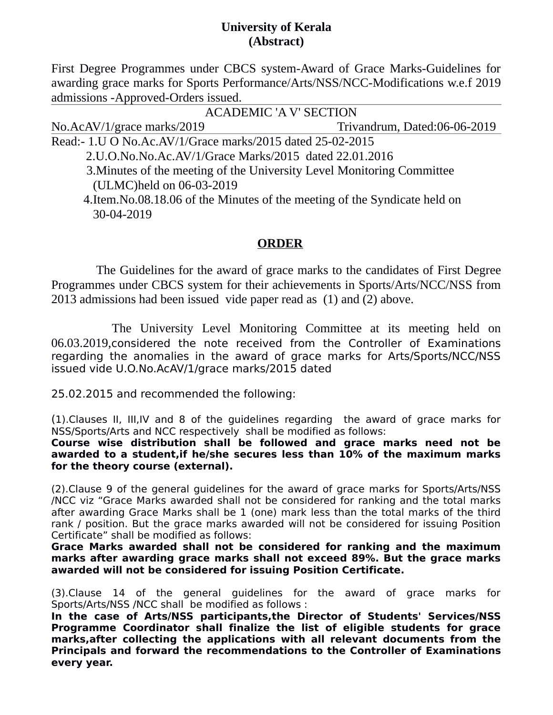## **University of Kerala (Abstract)**

First Degree Programmes under CBCS system-Award of Grace Marks-Guidelines for awarding grace marks for Sports Performance/Arts/NSS/NCC-Modifications w.e.f 2019 admissions -Approved-Orders issued.

 ACADEMIC 'A V' SECTION No.AcAV/1/grace marks/2019 Trivandrum, Dated:06-06-2019 Read:- 1.U O No.Ac.AV/1/Grace marks/2015 dated 25-02-2015 2.U.O.No.No.Ac.AV/1/Grace Marks/2015 dated 22.01.2016 3.Minutes of the meeting of the University Level Monitoring Committee (ULMC)held on 06-03-2019 4.Item.No.08.18.06 of the Minutes of the meeting of the Syndicate held on

30-04-2019

## **ORDER**

 The Guidelines for the award of grace marks to the candidates of First Degree Programmes under CBCS system for their achievements in Sports/Arts/NCC/NSS from 2013 admissions had been issued vide paper read as (1) and (2) above.

 The University Level Monitoring Committee at its meeting held on 06.03.2019,considered the note received from the Controller of Examinations regarding the anomalies in the award of grace marks for Arts/Sports/NCC/NSS issued vide U.O.No.AcAV/1/grace marks/2015 dated

25.02.2015 and recommended the following:

(1).Clauses II, III,IV and 8 of the guidelines regarding the award of grace marks for NSS/Sports/Arts and NCC respectively shall be modified as follows:

**Course wise distribution shall be followed and grace marks need not be awarded to a student,if he/she secures less than 10% of the maximum marks for the theory course (external).**

(2).Clause 9 of the general guidelines for the award of grace marks for Sports/Arts/NSS /NCC viz "Grace Marks awarded shall not be considered for ranking and the total marks after awarding Grace Marks shall be 1 (one) mark less than the total marks of the third rank / position. But the grace marks awarded will not be considered for issuing Position Certificate" shall be modified as follows:

**Grace Marks awarded shall not be considered for ranking and the maximum marks after awarding grace marks shall not exceed 89%. But the grace marks awarded will not be considered for issuing Position Certificate.**

(3).Clause 14 of the general guidelines for the award of grace marks for Sports/Arts/NSS /NCC shall be modified as follows :

**In the case of Arts/NSS participants,the Director of Students' Services/NSS Programme Coordinator shall finalize the list of eligible students for grace marks,after collecting the applications with all relevant documents from the Principals and forward the recommendations to the Controller of Examinations every year.**